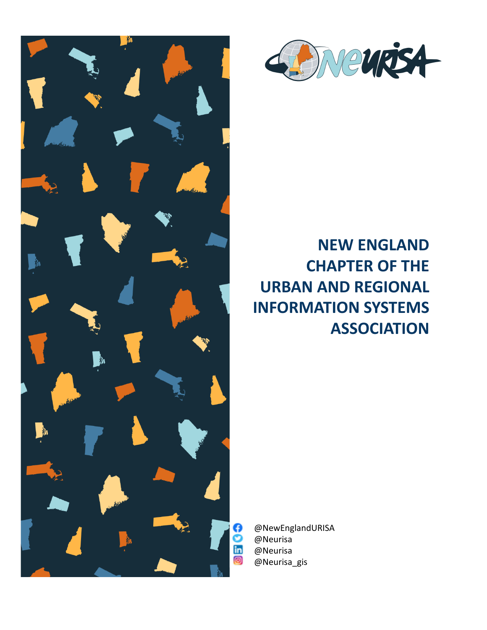



# **NEW ENGLAND CHAPTER OF THE URBAN AND REGIONAL INFORMATION SYSTEMS ASSOCIATION**

@NewEnglandURISA @Neurisa @Neurisa @Neurisa\_gis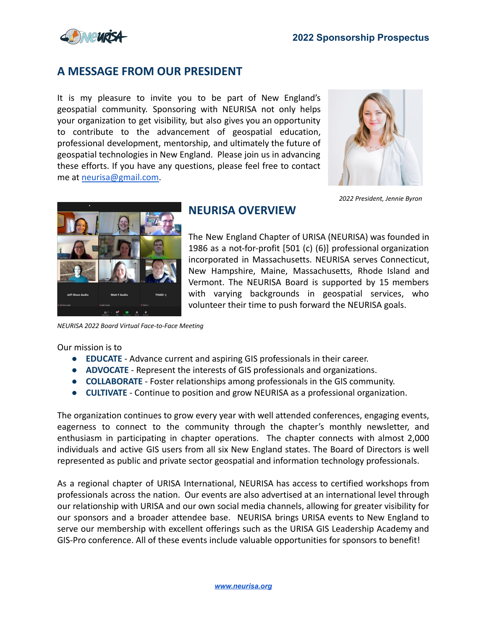

## **A MESSAGE FROM OUR PRESIDENT**

It is my pleasure to invite you to be part of New England's geospatial community. Sponsoring with NEURISA not only helps your organization to get visibility, but also gives you an opportunity to contribute to the advancement of geospatial education, professional development, mentorship, and ultimately the future of geospatial technologies in New England. Please join us in advancing these efforts. If you have any questions, please feel free to contact me at [neurisa@gmail.com.](mailto: neurisa@gmail.com)



*2022 President, Jennie Byron*



## **NEURISA OVERVIEW**

The New England Chapter of URISA (NEURISA) was founded in 1986 as a not-for-profit [501 (c) (6)] professional organization incorporated in Massachusetts. NEURISA serves Connecticut, New Hampshire, Maine, Massachusetts, Rhode Island and Vermont. The NEURISA Board is supported by 15 members with varying backgrounds in geospatial services, who volunteer their time to push forward the NEURISA goals.

*NEURISA 2022 Board Virtual Face-to-Face Meeting*

Our mission is to

- **EDUCATE** Advance current and aspiring GIS professionals in their career.
- **ADVOCATE** Represent the interests of GIS professionals and organizations.
- **COLLABORATE** Foster relationships among professionals in the GIS community.
- **CULTIVATE** Continue to position and grow NEURISA as a professional organization.

The organization continues to grow every year with well attended conferences, engaging events, eagerness to connect to the community through the chapter's monthly newsletter, and enthusiasm in participating in chapter operations. The chapter connects with almost 2,000 individuals and active GIS users from all six New England states. The Board of Directors is well represented as public and private sector geospatial and information technology professionals.

As a regional chapter of URISA International, NEURISA has access to certified workshops from professionals across the nation. Our events are also advertised at an international level through our relationship with URISA and our own social media channels, allowing for greater visibility for our sponsors and a broader attendee base. NEURISA brings URISA events to New England to serve our membership with excellent offerings such as the URISA GIS Leadership Academy and GIS-Pro conference. All of these events include valuable opportunities for sponsors to benefit!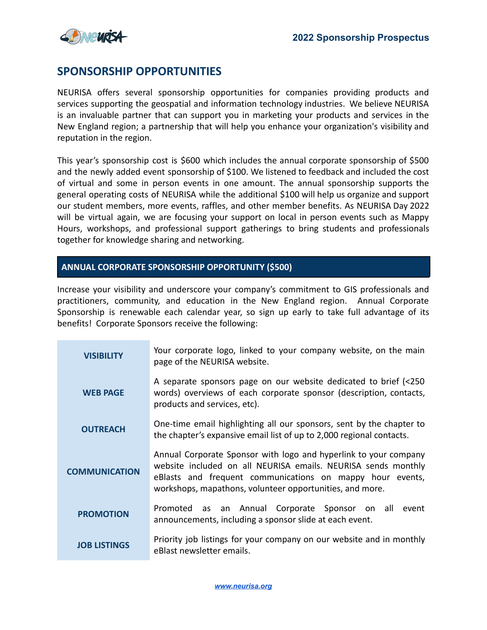

## **SPONSORSHIP OPPORTUNITIES**

NEURISA offers several sponsorship opportunities for companies providing products and services supporting the geospatial and information technology industries. We believe NEURISA is an invaluable partner that can support you in marketing your products and services in the New England region; a partnership that will help you enhance your organization's visibility and reputation in the region.

This year's sponsorship cost is \$600 which includes the annual corporate sponsorship of \$500 and the newly added event sponsorship of \$100. We listened to feedback and included the cost of virtual and some in person events in one amount. The annual sponsorship supports the general operating costs of NEURISA while the additional \$100 will help us organize and support our student members, more events, raffles, and other member benefits. As NEURISA Day 2022 will be virtual again, we are focusing your support on local in person events such as Mappy Hours, workshops, and professional support gatherings to bring students and professionals together for knowledge sharing and networking.

### **ANNUAL CORPORATE SPONSORSHIP OPPORTUNITY (\$500)**

Increase your visibility and underscore your company's commitment to GIS professionals and practitioners, community, and education in the New England region. Annual Corporate Sponsorship is renewable each calendar year, so sign up early to take full advantage of its benefits! Corporate Sponsors receive the following:

| <b>VISIBILITY</b>    | Your corporate logo, linked to your company website, on the main<br>page of the NEURISA website.                                                                                                                                                           |
|----------------------|------------------------------------------------------------------------------------------------------------------------------------------------------------------------------------------------------------------------------------------------------------|
| <b>WEB PAGE</b>      | A separate sponsors page on our website dedicated to brief (<250<br>words) overviews of each corporate sponsor (description, contacts,<br>products and services, etc).                                                                                     |
| <b>OUTREACH</b>      | One-time email highlighting all our sponsors, sent by the chapter to<br>the chapter's expansive email list of up to 2,000 regional contacts.                                                                                                               |
| <b>COMMUNICATION</b> | Annual Corporate Sponsor with logo and hyperlink to your company<br>website included on all NEURISA emails. NEURISA sends monthly<br>eBlasts and frequent communications on mappy hour events,<br>workshops, mapathons, volunteer opportunities, and more. |
| <b>PROMOTION</b>     | as an Annual Corporate Sponsor on all<br>event<br>Promoted<br>announcements, including a sponsor slide at each event.                                                                                                                                      |
| <b>JOB LISTINGS</b>  | Priority job listings for your company on our website and in monthly<br>eBlast newsletter emails.                                                                                                                                                          |